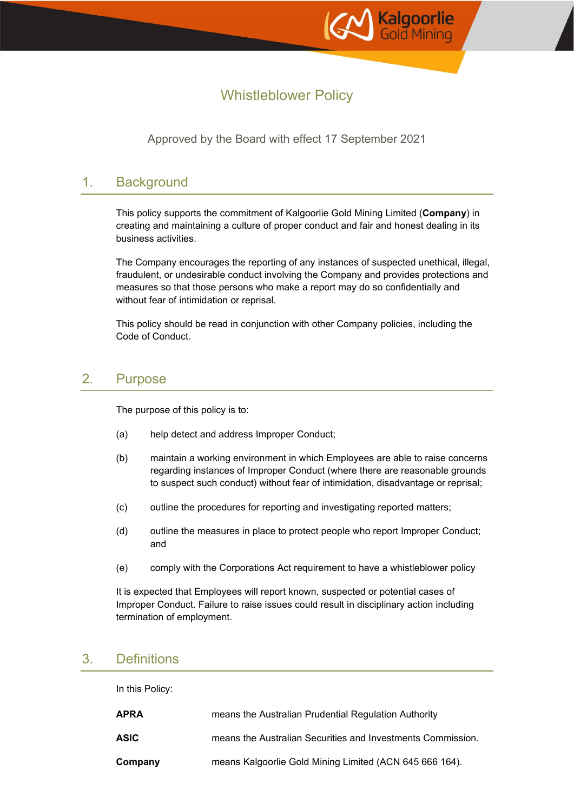

# Whistleblower Policy

Approved by the Board with effect 17 September 2021

### 1. Background

This policy supports the commitment of Kalgoorlie Gold Mining Limited (**Company**) in creating and maintaining a culture of proper conduct and fair and honest dealing in its business activities.

The Company encourages the reporting of any instances of suspected unethical, illegal, fraudulent, or undesirable conduct involving the Company and provides protections and measures so that those persons who make a report may do so confidentially and without fear of intimidation or reprisal.

This policy should be read in conjunction with other Company policies, including the Code of Conduct.

### 2. Purpose

The purpose of this policy is to:

- (a) help detect and address Improper Conduct;
- (b) maintain a working environment in which Employees are able to raise concerns regarding instances of Improper Conduct (where there are reasonable grounds to suspect such conduct) without fear of intimidation, disadvantage or reprisal;
- (c) outline the procedures for reporting and investigating reported matters;
- (d) outline the measures in place to protect people who report Improper Conduct; and
- (e) comply with the Corporations Act requirement to have a whistleblower policy

It is expected that Employees will report known, suspected or potential cases of Improper Conduct. Failure to raise issues could result in disciplinary action including termination of employment.

### 3. Definitions

In this Policy:

| APRA    | means the Australian Prudential Regulation Authority        |
|---------|-------------------------------------------------------------|
| ASIC    | means the Australian Securities and Investments Commission. |
| Company | means Kalgoorlie Gold Mining Limited (ACN 645 666 164).     |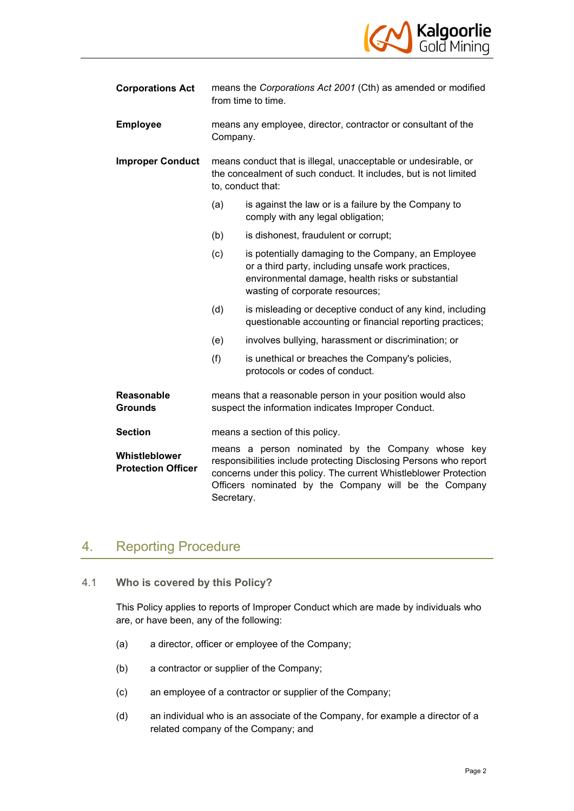

| <b>Corporations Act</b>                    | means the Corporations Act 2001 (Cth) as amended or modified<br>from time to time.                                                                                                                                                                                |                                                                                                                                                                                                   |  |
|--------------------------------------------|-------------------------------------------------------------------------------------------------------------------------------------------------------------------------------------------------------------------------------------------------------------------|---------------------------------------------------------------------------------------------------------------------------------------------------------------------------------------------------|--|
| <b>Employee</b>                            | means any employee, director, contractor or consultant of the<br>Company.                                                                                                                                                                                         |                                                                                                                                                                                                   |  |
| <b>Improper Conduct</b>                    | means conduct that is illegal, unacceptable or undesirable, or<br>the concealment of such conduct. It includes, but is not limited<br>to, conduct that:                                                                                                           |                                                                                                                                                                                                   |  |
|                                            | (a)                                                                                                                                                                                                                                                               | is against the law or is a failure by the Company to<br>comply with any legal obligation;                                                                                                         |  |
|                                            | (b)                                                                                                                                                                                                                                                               | is dishonest, fraudulent or corrupt;                                                                                                                                                              |  |
|                                            | (c)                                                                                                                                                                                                                                                               | is potentially damaging to the Company, an Employee<br>or a third party, including unsafe work practices,<br>environmental damage, health risks or substantial<br>wasting of corporate resources; |  |
|                                            | (d)                                                                                                                                                                                                                                                               | is misleading or deceptive conduct of any kind, including<br>questionable accounting or financial reporting practices;                                                                            |  |
|                                            | (e)                                                                                                                                                                                                                                                               | involves bullying, harassment or discrimination; or                                                                                                                                               |  |
|                                            | (f)                                                                                                                                                                                                                                                               | is unethical or breaches the Company's policies,<br>protocols or codes of conduct.                                                                                                                |  |
| <b>Reasonable</b><br><b>Grounds</b>        | means that a reasonable person in your position would also<br>suspect the information indicates Improper Conduct.                                                                                                                                                 |                                                                                                                                                                                                   |  |
| <b>Section</b>                             | means a section of this policy.                                                                                                                                                                                                                                   |                                                                                                                                                                                                   |  |
| Whistleblower<br><b>Protection Officer</b> | means a person nominated by the Company whose key<br>responsibilities include protecting Disclosing Persons who report<br>concerns under this policy. The current Whistleblower Protection<br>Officers nominated by the Company will be the Company<br>Secretary. |                                                                                                                                                                                                   |  |

## 4. Reporting Procedure

4.1 **Who is covered by this Policy?**

This Policy applies to reports of Improper Conduct which are made by individuals who are, or have been, any of the following:

- (a) a director, officer or employee of the Company;
- (b) a contractor or supplier of the Company;
- (c) an employee of a contractor or supplier of the Company;
- (d) an individual who is an associate of the Company, for example a director of a related company of the Company; and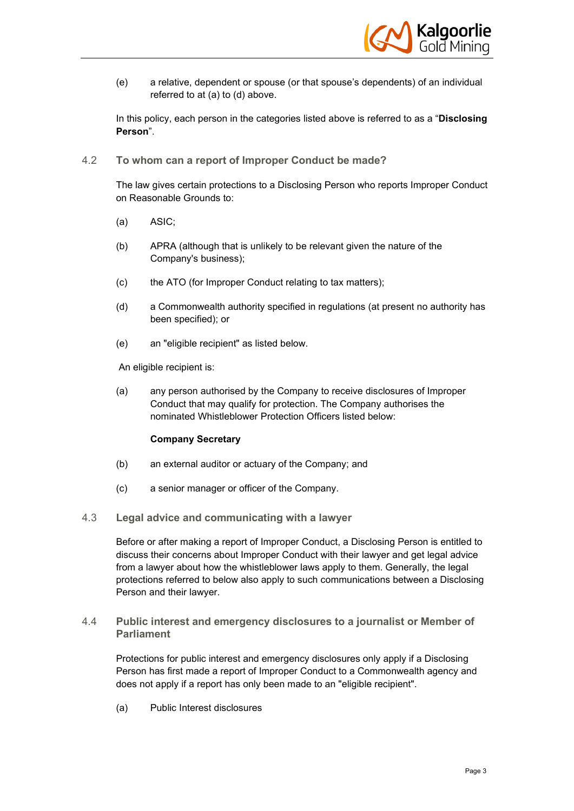

(e) a relative, dependent or spouse (or that spouse's dependents) of an individual referred to at (a) to (d) above.

In this policy, each person in the categories listed above is referred to as a "**Disclosing Person**".

4.2 **To whom can a report of Improper Conduct be made?**

The law gives certain protections to a Disclosing Person who reports Improper Conduct on Reasonable Grounds to:

- (a) ASIC;
- (b) APRA (although that is unlikely to be relevant given the nature of the Company's business);
- (c) the ATO (for Improper Conduct relating to tax matters);
- (d) a Commonwealth authority specified in regulations (at present no authority has been specified); or
- (e) an "eligible recipient" as listed below.

An eligible recipient is:

(a) any person authorised by the Company to receive disclosures of Improper Conduct that may qualify for protection. The Company authorises the nominated Whistleblower Protection Officers listed below:

#### **Company Secretary**

- (b) an external auditor or actuary of the Company; and
- (c) a senior manager or officer of the Company.
- 4.3 **Legal advice and communicating with a lawyer**

Before or after making a report of Improper Conduct, a Disclosing Person is entitled to discuss their concerns about Improper Conduct with their lawyer and get legal advice from a lawyer about how the whistleblower laws apply to them. Generally, the legal protections referred to below also apply to such communications between a Disclosing Person and their lawyer.

4.4 **Public interest and emergency disclosures to a journalist or Member of Parliament**

Protections for public interest and emergency disclosures only apply if a Disclosing Person has first made a report of Improper Conduct to a Commonwealth agency and does not apply if a report has only been made to an "eligible recipient".

(a) Public Interest disclosures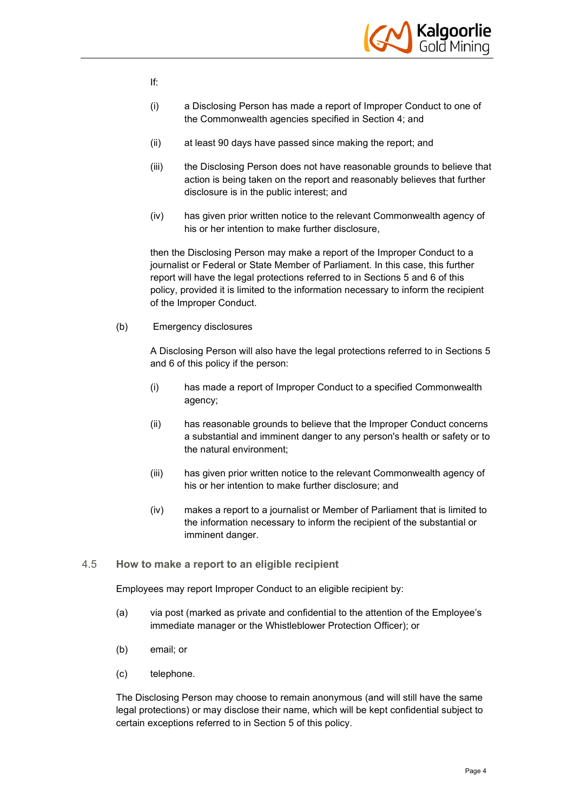

- If:
- (i) a Disclosing Person has made a report of Improper Conduct to one of the Commonwealth agencies specified in Section 4; and
- (ii) at least 90 days have passed since making the report; and
- (iii) the Disclosing Person does not have reasonable grounds to believe that action is being taken on the report and reasonably believes that further disclosure is in the public interest; and
- (iv) has given prior written notice to the relevant Commonwealth agency of his or her intention to make further disclosure,

then the Disclosing Person may make a report of the Improper Conduct to a journalist or Federal or State Member of Parliament. In this case, this further report will have the legal protections referred to in Sections 5 and 6 of this policy, provided it is limited to the information necessary to inform the recipient of the Improper Conduct.

(b) Emergency disclosures

A Disclosing Person will also have the legal protections referred to in Sections 5 and 6 of this policy if the person:

- (i) has made a report of Improper Conduct to a specified Commonwealth agency;
- (ii) has reasonable grounds to believe that the Improper Conduct concerns a substantial and imminent danger to any person's health or safety or to the natural environment;
- (iii) has given prior written notice to the relevant Commonwealth agency of his or her intention to make further disclosure; and
- (iv) makes a report to a journalist or Member of Parliament that is limited to the information necessary to inform the recipient of the substantial or imminent danger.
- 4.5 **How to make a report to an eligible recipient**

Employees may report Improper Conduct to an eligible recipient by:

- (a) via post (marked as private and confidential to the attention of the Employee's immediate manager or the Whistleblower Protection Officer); or
- (b) email; or
- (c) telephone.

The Disclosing Person may choose to remain anonymous (and will still have the same legal protections) or may disclose their name, which will be kept confidential subject to certain exceptions referred to in Section 5 of this policy.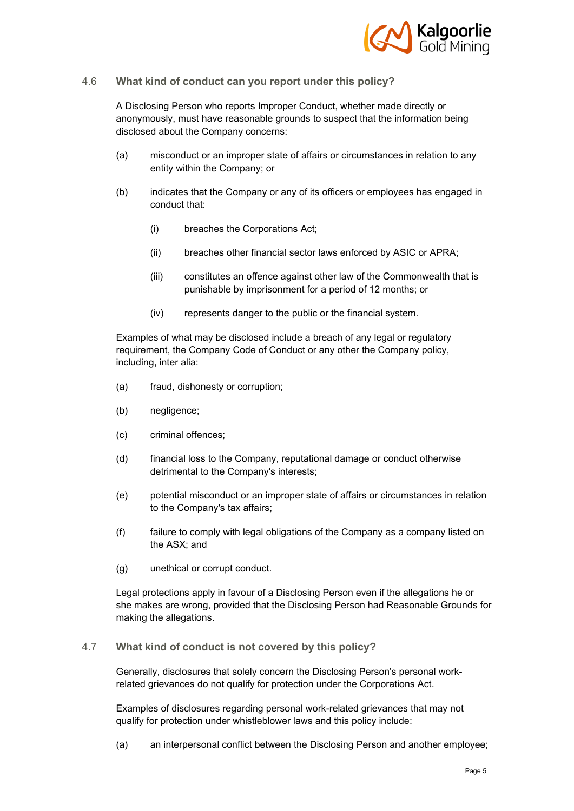

#### 4.6 **What kind of conduct can you report under this policy?**

A Disclosing Person who reports Improper Conduct, whether made directly or anonymously, must have reasonable grounds to suspect that the information being disclosed about the Company concerns:

- (a) misconduct or an improper state of affairs or circumstances in relation to any entity within the Company; or
- (b) indicates that the Company or any of its officers or employees has engaged in conduct that:
	- (i) breaches the Corporations Act;
	- (ii) breaches other financial sector laws enforced by ASIC or APRA;
	- (iii) constitutes an offence against other law of the Commonwealth that is punishable by imprisonment for a period of 12 months; or
	- (iv) represents danger to the public or the financial system.

Examples of what may be disclosed include a breach of any legal or regulatory requirement, the Company Code of Conduct or any other the Company policy, including, inter alia:

- (a) fraud, dishonesty or corruption;
- (b) negligence;
- (c) criminal offences;
- (d) financial loss to the Company, reputational damage or conduct otherwise detrimental to the Company's interests;
- (e) potential misconduct or an improper state of affairs or circumstances in relation to the Company's tax affairs;
- (f) failure to comply with legal obligations of the Company as a company listed on the ASX; and
- (g) unethical or corrupt conduct.

Legal protections apply in favour of a Disclosing Person even if the allegations he or she makes are wrong, provided that the Disclosing Person had Reasonable Grounds for making the allegations.

#### 4.7 **What kind of conduct is not covered by this policy?**

Generally, disclosures that solely concern the Disclosing Person's personal workrelated grievances do not qualify for protection under the Corporations Act.

Examples of disclosures regarding personal work-related grievances that may not qualify for protection under whistleblower laws and this policy include:

(a) an interpersonal conflict between the Disclosing Person and another employee;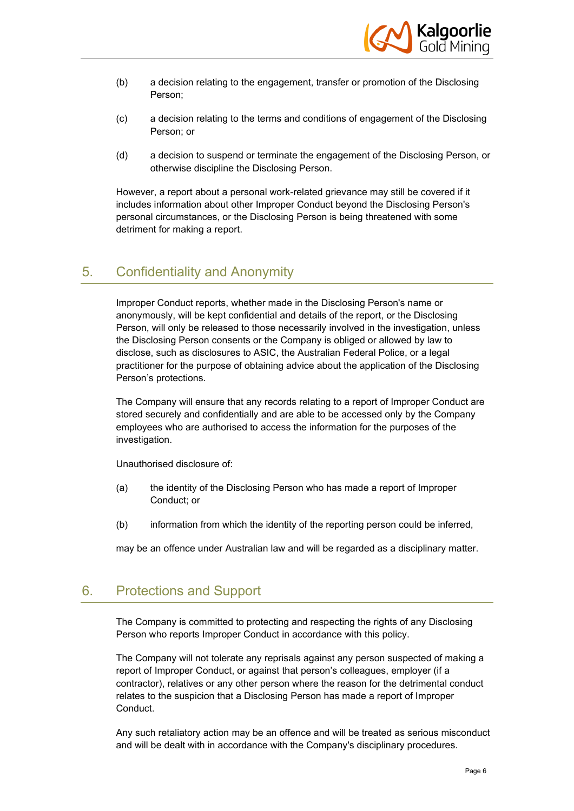

- (b) a decision relating to the engagement, transfer or promotion of the Disclosing Person;
- (c) a decision relating to the terms and conditions of engagement of the Disclosing Person; or
- (d) a decision to suspend or terminate the engagement of the Disclosing Person, or otherwise discipline the Disclosing Person.

However, a report about a personal work-related grievance may still be covered if it includes information about other Improper Conduct beyond the Disclosing Person's personal circumstances, or the Disclosing Person is being threatened with some detriment for making a report.

### 5. Confidentiality and Anonymity

Improper Conduct reports, whether made in the Disclosing Person's name or anonymously, will be kept confidential and details of the report, or the Disclosing Person, will only be released to those necessarily involved in the investigation, unless the Disclosing Person consents or the Company is obliged or allowed by law to disclose, such as disclosures to ASIC, the Australian Federal Police, or a legal practitioner for the purpose of obtaining advice about the application of the Disclosing Person's protections.

The Company will ensure that any records relating to a report of Improper Conduct are stored securely and confidentially and are able to be accessed only by the Company employees who are authorised to access the information for the purposes of the investigation.

Unauthorised disclosure of:

- (a) the identity of the Disclosing Person who has made a report of Improper Conduct; or
- (b) information from which the identity of the reporting person could be inferred,

may be an offence under Australian law and will be regarded as a disciplinary matter.

## 6. Protections and Support

The Company is committed to protecting and respecting the rights of any Disclosing Person who reports Improper Conduct in accordance with this policy.

The Company will not tolerate any reprisals against any person suspected of making a report of Improper Conduct, or against that person's colleagues, employer (if a contractor), relatives or any other person where the reason for the detrimental conduct relates to the suspicion that a Disclosing Person has made a report of Improper Conduct.

Any such retaliatory action may be an offence and will be treated as serious misconduct and will be dealt with in accordance with the Company's disciplinary procedures.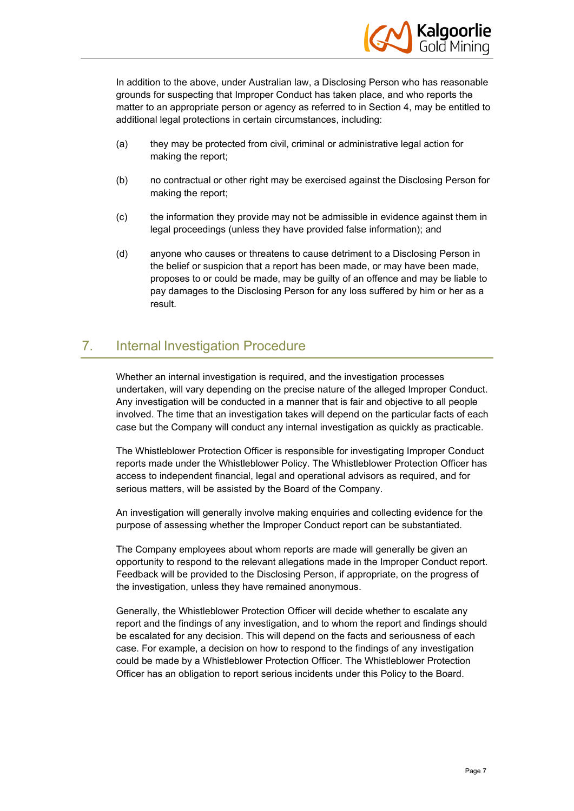

In addition to the above, under Australian law, a Disclosing Person who has reasonable grounds for suspecting that Improper Conduct has taken place, and who reports the matter to an appropriate person or agency as referred to in Section 4, may be entitled to additional legal protections in certain circumstances, including:

- (a) they may be protected from civil, criminal or administrative legal action for making the report;
- (b) no contractual or other right may be exercised against the Disclosing Person for making the report;
- (c) the information they provide may not be admissible in evidence against them in legal proceedings (unless they have provided false information); and
- (d) anyone who causes or threatens to cause detriment to a Disclosing Person in the belief or suspicion that a report has been made, or may have been made, proposes to or could be made, may be guilty of an offence and may be liable to pay damages to the Disclosing Person for any loss suffered by him or her as a result.

## 7. Internal Investigation Procedure

Whether an internal investigation is required, and the investigation processes undertaken, will vary depending on the precise nature of the alleged Improper Conduct. Any investigation will be conducted in a manner that is fair and objective to all people involved. The time that an investigation takes will depend on the particular facts of each case but the Company will conduct any internal investigation as quickly as practicable.

The Whistleblower Protection Officer is responsible for investigating Improper Conduct reports made under the Whistleblower Policy. The Whistleblower Protection Officer has access to independent financial, legal and operational advisors as required, and for serious matters, will be assisted by the Board of the Company.

An investigation will generally involve making enquiries and collecting evidence for the purpose of assessing whether the Improper Conduct report can be substantiated.

The Company employees about whom reports are made will generally be given an opportunity to respond to the relevant allegations made in the Improper Conduct report. Feedback will be provided to the Disclosing Person, if appropriate, on the progress of the investigation, unless they have remained anonymous.

Generally, the Whistleblower Protection Officer will decide whether to escalate any report and the findings of any investigation, and to whom the report and findings should be escalated for any decision. This will depend on the facts and seriousness of each case. For example, a decision on how to respond to the findings of any investigation could be made by a Whistleblower Protection Officer. The Whistleblower Protection Officer has an obligation to report serious incidents under this Policy to the Board.